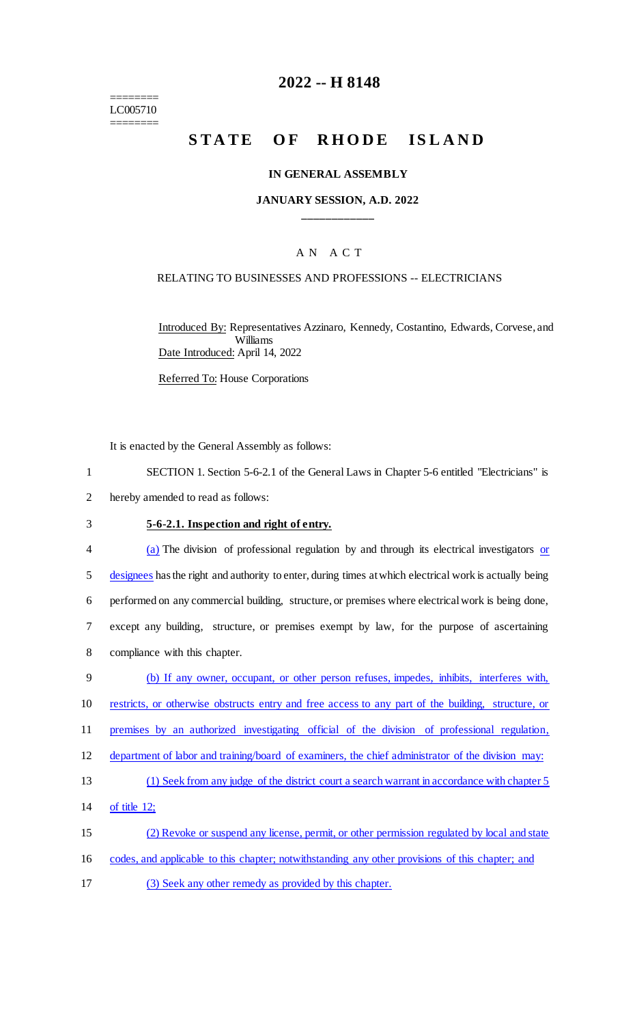======== LC005710 ========

# **2022 -- H 8148**

# STATE OF RHODE ISLAND

### **IN GENERAL ASSEMBLY**

### **JANUARY SESSION, A.D. 2022 \_\_\_\_\_\_\_\_\_\_\_\_**

### A N A C T

### RELATING TO BUSINESSES AND PROFESSIONS -- ELECTRICIANS

Introduced By: Representatives Azzinaro, Kennedy, Costantino, Edwards, Corvese, and Williams Date Introduced: April 14, 2022

Referred To: House Corporations

It is enacted by the General Assembly as follows:

1 SECTION 1. Section 5-6-2.1 of the General Laws in Chapter 5-6 entitled "Electricians" is

2 hereby amended to read as follows:

### 3 **5-6-2.1. Inspection and right of entry.**

4 (a) The division of professional regulation by and through its electrical investigators or 5 designees has the right and authority to enter, during times at which electrical work is actually being 6 performed on any commercial building, structure, or premises where electrical work is being done, 7 except any building, structure, or premises exempt by law, for the purpose of ascertaining 8 compliance with this chapter.

 (b) If any owner, occupant, or other person refuses, impedes, inhibits, interferes with, 10 restricts, or otherwise obstructs entry and free access to any part of the building, structure, or premises by an authorized investigating official of the division of professional regulation, 12 department of labor and training/board of examiners, the chief administrator of the division may: (1) Seek from any judge of the district court a search warrant in accordance with chapter 5 of title 12; (2) Revoke or suspend any license, permit, or other permission regulated by local and state

16 codes, and applicable to this chapter; notwithstanding any other provisions of this chapter; and

17 (3) Seek any other remedy as provided by this chapter.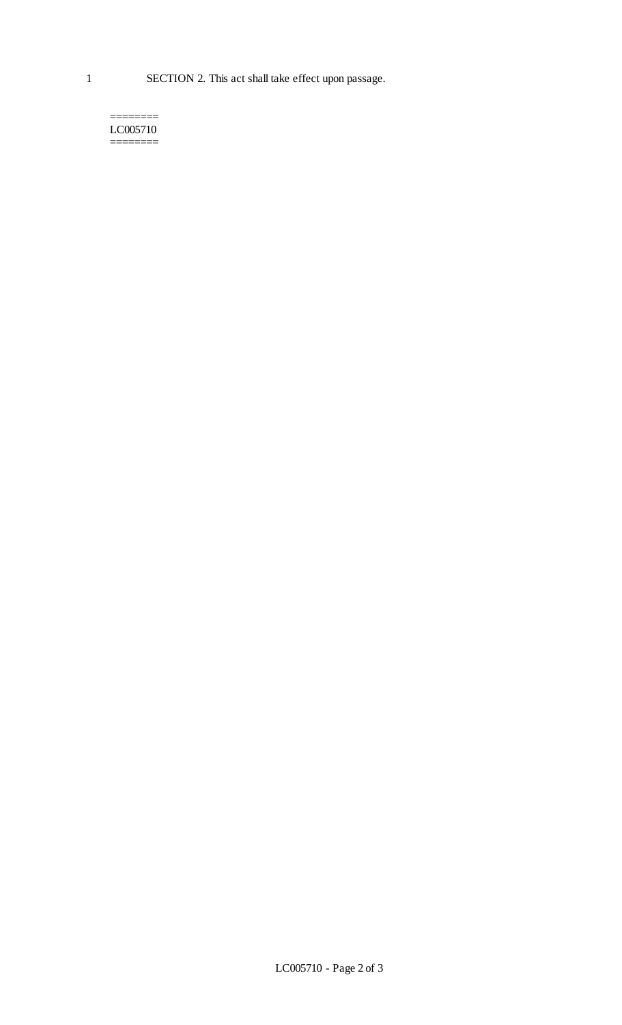#### ======== LC005710 ========